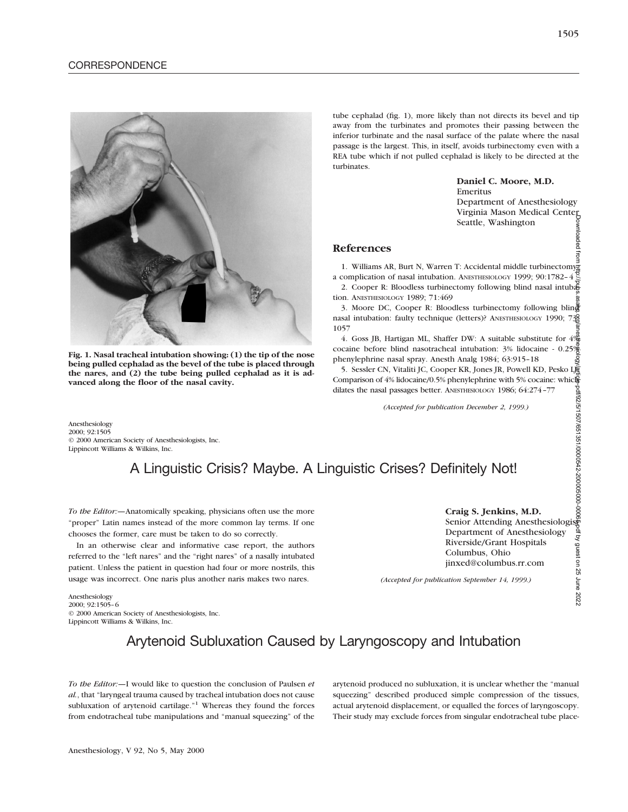

**Fig. 1. Nasal tracheal intubation showing: (1) the tip of the nose being pulled cephalad as the bevel of the tube is placed through the nares, and (2) the tube being pulled cephalad as it is advanced along the floor of the nasal cavity.**

tube cephalad (fig. 1), more likely than not directs its bevel and tip away from the turbinates and promotes their passing between the inferior turbinate and the nasal surface of the palate where the nasal passage is the largest. This, in itself, avoids turbinectomy even with a REA tube which if not pulled cephalad is likely to be directed at the turbinates.

#### **Daniel C. Moore, M.D.** Emeritus

Department of Anesthesiology Virginia Mason Medical Center Seattle, Washington

### **References**

1. Williams AR, Burt N, Warren T: Accidental middle turbinectomy a complication of nasal intubation. ANESTHESIOLOGY 1999; 90:1782–4

Compication of hasal intubation. ANESTHESIOLOGY 1999, 90.1/82-4  $\frac{3}{8}$ <br>2. Cooper R: Bloodless turbinectomy following blind nasal intubation tion. ANESTHESIOLOGY 1989; 71:469

3. Moore DC, Cooper R: Bloodless turbinectomy following blind nasal intubation: faulty technique (letters)? ANESTHESIOLOGY 1990; 738 1057

4. Goss JB, Hartigan ML, Shaffer DW: A suitable substitute for  $4\frac{\omega}{9}$ cocaine before blind nasotracheal intubation: 3% lidocaine - 0.25% phenylephrine nasal spray. Anesth Analg 1984; 63:915-18<br>5. Sessler CN, Vitaliti JC, Cooper KR, Jones JR, Powell KD, Pesko Le

5. Sessler CN, Vitaliti JC, Cooper KR, Jones JR, Powell KD, Pesko Lj Comparison of 4% lidocaine/0.5% phenylephrine with 5% cocaine: which dilates the nasal passages better. ANESTHESIOLOGY 1986; 64:274–77 Downloaded from http://pubs.asahq.org/anesthesiology/article-pdf/92/5/1507/651351/0000542-200005000-00065.pdf by guest on 25 June 2022

*(Accepted for publication December 2, 1999.)*

Anesthesiology 2000; 92:1505 © 2000 American Society of Anesthesiologists, Inc. Lippincott Williams & Wilkins, Inc.

# A Linguistic Crisis? Maybe. A Linguistic Crises? Definitely Not!

*To the Editor:—*Anatomically speaking, physicians often use the more "proper" Latin names instead of the more common lay terms. If one chooses the former, care must be taken to do so correctly.

In an otherwise clear and informative case report, the authors referred to the "left nares" and the "right nares" of a nasally intubated patient. Unless the patient in question had four or more nostrils, this usage was incorrect. One naris plus another naris makes two nares.

### **Craig S. Jenkins, M.D.**

Senior Attending Anesthesiologist Department of Anesthesiology Riverside/Grant Hospitals Columbus, Ohio jinxed@columbus.rr.com

*(Accepted for publication September 14, 1999.)*

Anesthesiology 2000; 92:1505–6 © 2000 American Society of Anesthesiologists, Inc. Lippincott Williams & Wilkins, Inc.

# Arytenoid Subluxation Caused by Laryngoscopy and Intubation

*To the Editor:—*I would like to question the conclusion of Paulsen *et al.*, that "laryngeal trauma caused by tracheal intubation does not cause subluxation of arytenoid cartilage."<sup>1</sup> Whereas they found the forces from endotracheal tube manipulations and "manual squeezing" of the arytenoid produced no subluxation, it is unclear whether the "manual squeezing" described produced simple compression of the tissues, actual arytenoid displacement, or equalled the forces of laryngoscopy. Their study may exclude forces from singular endotracheal tube place-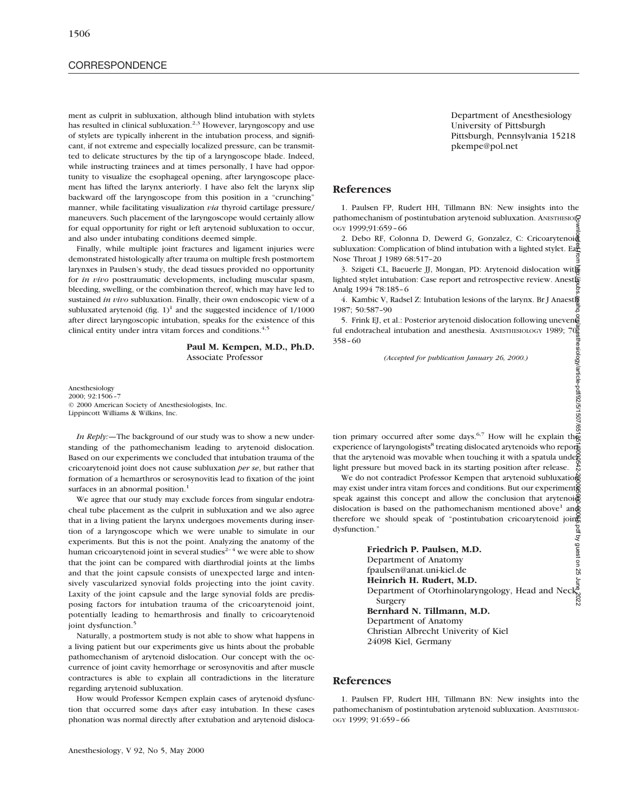## **CORRESPONDENCE**

ment as culprit in subluxation, although blind intubation with stylets has resulted in clinical subluxation.<sup>2,3</sup> However, laryngoscopy and use of stylets are typically inherent in the intubation process, and significant, if not extreme and especially localized pressure, can be transmitted to delicate structures by the tip of a laryngoscope blade. Indeed, while instructing trainees and at times personally, I have had opportunity to visualize the esophageal opening, after laryngoscope placement has lifted the larynx anteriorly. I have also felt the larynx slip backward off the laryngoscope from this position in a "crunching" manner, while facilitating visualization *via* thyroid cartilage pressure/ maneuvers. Such placement of the laryngoscope would certainly allow for equal opportunity for right or left arytenoid subluxation to occur, and also under intubating conditions deemed simple.

Finally, while multiple joint fractures and ligament injuries were demonstrated histologically after trauma on multiple fresh postmortem larynxes in Paulsen's study, the dead tissues provided no opportunity for *in vivo* posttraumatic developments, including muscular spasm, bleeding, swelling, or the combination thereof, which may have led to sustained *in vivo* subluxation. Finally, their own endoscopic view of a subluxated arytenoid (fig.  $1$ )<sup>1</sup> and the suggested incidence of  $1/1000$ after direct laryngoscopic intubation, speaks for the existence of this clinical entity under intra vitam forces and conditions.<sup>4,5</sup>

> **Paul M. Kempen, M.D., Ph.D.** Associate Professor

Anesthesiology 2000; 92:1506–7 © 2000 American Society of Anesthesiologists, Inc. Lippincott Williams & Wilkins, Inc.

*In Reply:—*The background of our study was to show a new understanding of the pathomechanism leading to arytenoid dislocation. Based on our experiments we concluded that intubation trauma of the cricoarytenoid joint does not cause subluxation *per se*, but rather that formation of a hemarthros or serosynovitis lead to fixation of the joint surfaces in an abnormal position.<sup>1</sup>

We agree that our study may exclude forces from singular endotracheal tube placement as the culprit in subluxation and we also agree that in a living patient the larynx undergoes movements during insertion of a laryngoscope which we were unable to simulate in our experiments. But this is not the point. Analyzing the anatomy of the human cricoarytenoid joint in several studies<sup> $2-4$ </sup> we were able to show that the joint can be compared with diarthrodial joints at the limbs and that the joint capsule consists of unexpected large and intensively vascularized synovial folds projecting into the joint cavity. Laxity of the joint capsule and the large synovial folds are predisposing factors for intubation trauma of the cricoarytenoid joint, potentially leading to hemarthrosis and finally to cricoarytenoid joint dysfunction.<sup>5</sup>

Naturally, a postmortem study is not able to show what happens in a living patient but our experiments give us hints about the probable pathomechanism of arytenoid dislocation. Our concept with the occurrence of joint cavity hemorrhage or serosynovitis and after muscle contractures is able to explain all contradictions in the literature regarding arytenoid subluxation.

How would Professor Kempen explain cases of arytenoid dysfunction that occurred some days after easy intubation. In these cases phonation was normal directly after extubation and arytenoid disloca-

Department of Anesthesiology University of Pittsburgh Pittsburgh, Pennsylvania 15218 pkempe@pol.net

### **References**

1. Paulsen FP, Rudert HH, Tillmann BN: New insights into the pathomechanism of postintubation arytenoid subluxation. ANESTHESIOL OGY 1999;91:659–66

2. Debo RF, Colonna D, Dewerd G, Gonzalez, C: Cricoarytenoid subluxation: Complication of blind intubation with a lighted stylet. Ea $\frac{a}{b}$ Nose Throat J 1989 68:517–20

3. Szigeti CL, Baeuerle JJ, Mongan, PD: Arytenoid dislocation with lighted stylet intubation: Case report and retrospective review. Anesth Analg 1994 78:185–6

4. Kambic V, Radsel Z: Intubation lesions of the larynx. Br J Anaesth 5<br>1987; 50:587-90<br>19. S. Frink EJ, et al.: Posterior arytenoid dislocation following uneven

5. Frink EJ, et al.: Posterior arytenoid dislocation following unevent ful endotracheal intubation and anesthesia. ANESTHESIOLOGY 1989; 70: 358–60

*(Accepted for publication January 26, 2000.)*

tion primary occurred after some days.<sup>6,7</sup> How will he explain the experience of laryngologists<sup>8</sup> treating dislocated arytenoids who reports that the arytenoid was movable when touching it with a spatula under light pressure but moved back in its starting position after release.

We do not contradict Professor Kempen that arytenoid subluxation may exist under intra vitam forces and conditions. But our experiments speak against this concept and allow the conclusion that arytenoid dislocation is based on the pathomechanism mentioned above<sup>1</sup> and therefore we should speak of "postintubation cricoarytenoid joing dysfunction."

**Friedrich P. Paulsen, M.D.** Department of Anatomy fpaulsen@anat.uni-kiel.de **Heinrich H. Rudert, M.D.** Department of Otorhinolaryngology, Head and Neck Surgery **Bernhard N. Tillmann, M.D.** Department of Anatomy Christian Albrecht Univerity of Kiel 24098 Kiel, Germany Downloaded from http://pubs.asahq.org/anesthesiology/article-pdf/92/5/1507/651351/0000542-200005000-00065.pdf by guest on 25 June 2022

#### **References**

1. Paulsen FP, Rudert HH, Tillmann BN: New insights into the pathomechanism of postintubation arytenoid subluxation. ANESTHESIOL-OGY 1999; 91:659–66